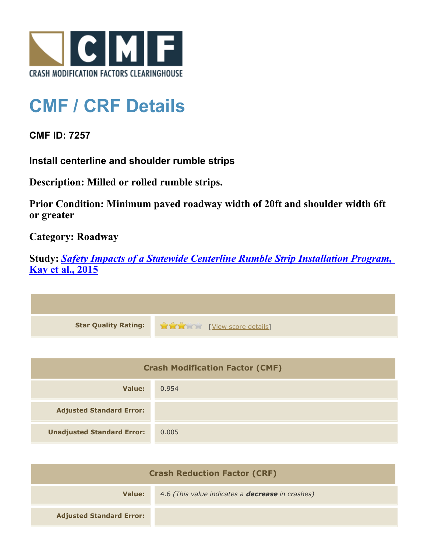

## **CMF / CRF Details**

**CMF ID: 7257**

**Install centerline and shoulder rumble strips**

**Description: Milled or rolled rumble strips.**

**Prior Condition: Minimum paved roadway width of 20ft and shoulder width 6ft or greater**

**Category: Roadway**

**Study:** *[Safety Impacts of a Statewide Centerline Rumble Strip Installation Program](http://www.cmfclearinghouse.org/study_detail.cfm?stid=421)***[,](http://www.cmfclearinghouse.org/study_detail.cfm?stid=421) [Kay et al., 2015](http://www.cmfclearinghouse.org/study_detail.cfm?stid=421)**



| <b>Crash Modification Factor (CMF)</b> |       |
|----------------------------------------|-------|
| Value:                                 | 0.954 |
| <b>Adjusted Standard Error:</b>        |       |
| <b>Unadjusted Standard Error:</b>      | 0.005 |

| <b>Crash Reduction Factor (CRF)</b> |                                                         |
|-------------------------------------|---------------------------------------------------------|
| Value:                              | 4.6 (This value indicates a <b>decrease</b> in crashes) |
| <b>Adjusted Standard Error:</b>     |                                                         |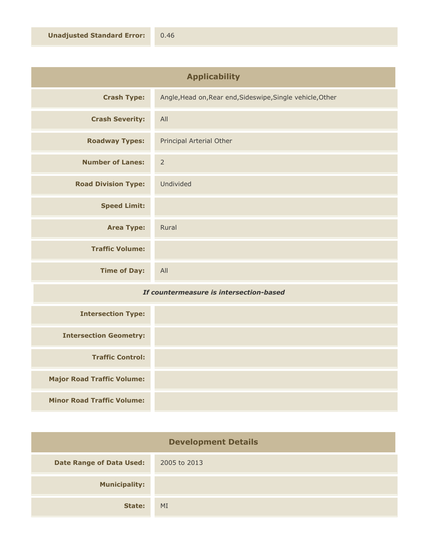| <b>Applicability</b>       |                                                            |
|----------------------------|------------------------------------------------------------|
| <b>Crash Type:</b>         | Angle, Head on, Rear end, Sideswipe, Single vehicle, Other |
| <b>Crash Severity:</b>     | All                                                        |
| <b>Roadway Types:</b>      | Principal Arterial Other                                   |
| <b>Number of Lanes:</b>    | $\overline{2}$                                             |
| <b>Road Division Type:</b> | Undivided                                                  |
| <b>Speed Limit:</b>        |                                                            |
| <b>Area Type:</b>          | Rural                                                      |
| <b>Traffic Volume:</b>     |                                                            |
| <b>Time of Day:</b>        | All                                                        |

## *If countermeasure is intersection-based*

| <b>Intersection Type:</b>         |  |
|-----------------------------------|--|
| <b>Intersection Geometry:</b>     |  |
| <b>Traffic Control:</b>           |  |
| <b>Major Road Traffic Volume:</b> |  |
| <b>Minor Road Traffic Volume:</b> |  |

| <b>Development Details</b>      |              |
|---------------------------------|--------------|
| <b>Date Range of Data Used:</b> | 2005 to 2013 |
| <b>Municipality:</b>            |              |
| State:                          | MI           |